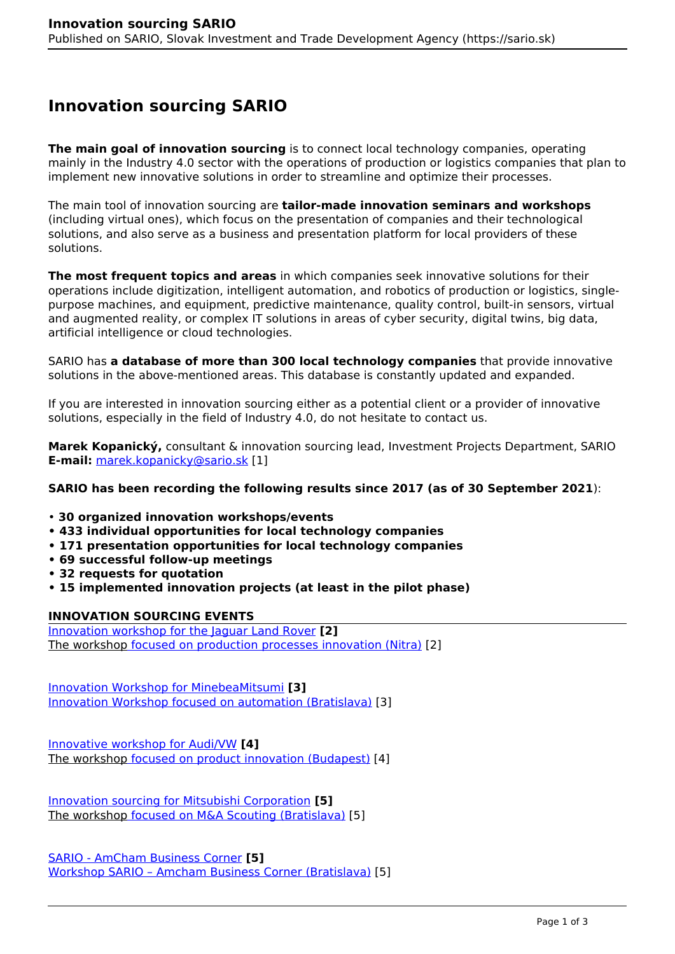## **Innovation sourcing SARIO**

**The main goal of innovation sourcing** is to connect local technology companies, operating mainly in the Industry 4.0 sector with the operations of production or logistics companies that plan to implement new innovative solutions in order to streamline and optimize their processes.

The main tool of innovation sourcing are **tailor-made innovation seminars and workshops** (including virtual ones), which focus on the presentation of companies and their technological solutions, and also serve as a business and presentation platform for local providers of these solutions.

**The most frequent topics and areas** in which companies seek innovative solutions for their operations include digitization, intelligent automation, and robotics of production or logistics, singlepurpose machines, and equipment, predictive maintenance, quality control, built-in sensors, virtual and augmented reality, or complex IT solutions in areas of cyber security, digital twins, big data, artificial intelligence or cloud technologies.

SARIO has **a database of more than 300 local technology companies** that provide innovative solutions in the above-mentioned areas. This database is constantly updated and expanded.

If you are interested in innovation sourcing either as a potential client or a provider of innovative solutions, especially in the field of Industry 4.0, do not hesitate to contact us.

**Marek Kopanický,** consultant & innovation sourcing lead, Investment Projects Department, SARIO **E-mail:** [marek.kopanicky@sario.sk](mailto:marek.kopanicky@sario.sk) [1]

## **SARIO has been recording the following results since 2017 (as of 30 September 2021**):

- **30 organized innovation workshops/events**
- **433 individual opportunities for local technology companies**
- **171 presentation opportunities for local technology companies**
- **69 successful follow-up meetings**
- **32 requests for quotation**
- **15 implemented innovation projects (at least in the pilot phase)**

## **INNOVATION SOURCING EVENTS**

[Innovation workshop for the Jaguar Land Rover](https://www.sario.sk/sk/node/4988) **[2]** The workshop [focused on production processes innovation \(Nitra\)](https://www.sario.sk/sk/node/4988) [2]

[Innovation Workshop for MinebeaMitsumi](https://www.sario.sk/sk/node/4930) **[3]** [Innovation Workshop focused on automation \(Bratislava\)](https://www.sario.sk/sk/node/4930) [3]

[Innovative workshop for Audi/VW](https://www.sario.sk/sk/node/4839) **[4]** The workshop [focused on product innovation \(Budapest\)](https://www.sario.sk/sk/node/4839) [4]

[Innovation sourcing for Mitsubishi Corporation](https://www.sario.sk/sk/node/5190) **[5]** The workshop [focused on M&A Scouting \(Bratislava\)](https://www.sario.sk/sk/node/5190) [5]

[SARIO - AmCham Business Corner](https://www.sario.sk/sk/node/5190) **[5]** [Workshop SARIO – Amcham Business Corner \(Bratislava\)](https://www.sario.sk/sk/node/5190) [5]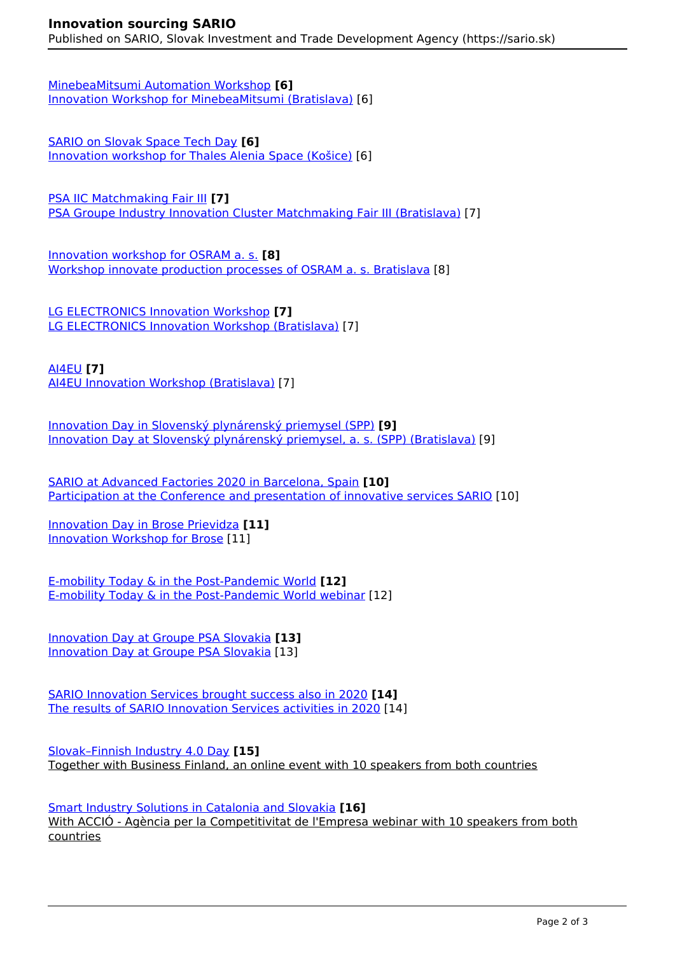[MinebeaMitsumi Automation Workshop](https://www.sario.sk/sk/node/5000) **[6]** [Innovation Workshop for MinebeaMitsumi \(Bratislava\)](https://www.sario.sk/sk/node/5000) [6]

[SARIO on Slovak Space Tech Day](https://www.sario.sk/sk/node/5000) **[6]** [Innovation workshop for Thales Alenia Space \(Košice\)](https://www.sario.sk/sk/node/5000) [6]

[PSA IIC Matchmaking Fair III](https://www.sario.sk/sk/novinky/april-v-znameni-inovacnych-workshopov-stretnuti) **[7]** [PSA Groupe Industry Innovation Cluster Matchmaking Fair III \(Bratislava\)](https://www.sario.sk/sk/novinky/april-v-znameni-inovacnych-workshopov-stretnuti) [7]

[Innovation workshop for OSRAM a. s.](https://www.sario.sk/sk/node/5564) **[8]** [Workshop innovate production processes of OSRAM a. s. Bratislava](https://www.sario.sk/sk/node/5564) [8]

[LG ELECTRONICS Innovation Workshop](https://www.sario.sk/sk/novinky/april-v-znameni-inovacnych-workshopov-stretnuti) **[7]** [LG ELECTRONICS Innovation Workshop \(Bratislava\)](https://www.sario.sk/sk/novinky/april-v-znameni-inovacnych-workshopov-stretnuti) [7]

[AI4EU](https://www.sario.sk/sk/novinky/april-v-znameni-inovacnych-workshopov-stretnuti) **[7]** [AI4EU Innovation Workshop \(Bratislava\)](https://www.sario.sk/sk/novinky/april-v-znameni-inovacnych-workshopov-stretnuti) [7]

[Innovation Day in Slovenský plynárenský priemysel \(SPP\)](https://www.sario.sk/sk/node/5720) **[9]** [Innovation Day at Slovenský plynárenský priemysel, a. s. \(SPP\) \(Bratislava\)](https://www.sario.sk/sk/node/5720) [9]

[SARIO at Advanced Factories 2020 in Barcelona, Spain](https://www.sario.sk/sk/node/5739) **[10]** [Participation at the Conference and presentation of innovative services SARIO](https://www.sario.sk/sk/node/5739) [10]

[Innovation Day in Brose Prievidza](https://www.sario.sk/sk/node/5740) **[11]** [Innovation Workshop for Brose](https://www.sario.sk/sk/node/5740) [11]

[E-mobility Today & in the Post-Pandemic World](https://www.sario.sk/sk/node/5839) **[12]** [E-mobility Today & in the Post-Pandemic World webinar](https://www.sario.sk/sk/node/5839) [12]

[Innovation Day at Groupe PSA Slovakia](https://www.sario.sk/sk/node/5984) **[13]** [Innovation Day at Groupe PSA Slovakia](https://www.sario.sk/sk/node/5984) [13]

[SARIO Innovation Services brought success also in 2020](https://www.sario.sk/sk/node/6124) **[14]** [The results of SARIO Innovation Services activities in 2020](https://www.sario.sk/sk/node/6124) [14]

[Slovak–Finnish Industry 4.0 Day](https://www.sario.sk/en/news/slovak-finnish-industry-40-day) **[15]** Together with Business Finland, an online event with 10 speakers from both countries

[Smart Industry Solutions in Catalonia and Slovakia](https://www.sario.sk/en/news/smart-industry-solutions-catalonia-and-slovakia) **[16]** With ACCIÓ - Agència per la Competitivitat de l'Empresa webinar with 10 speakers from both countries